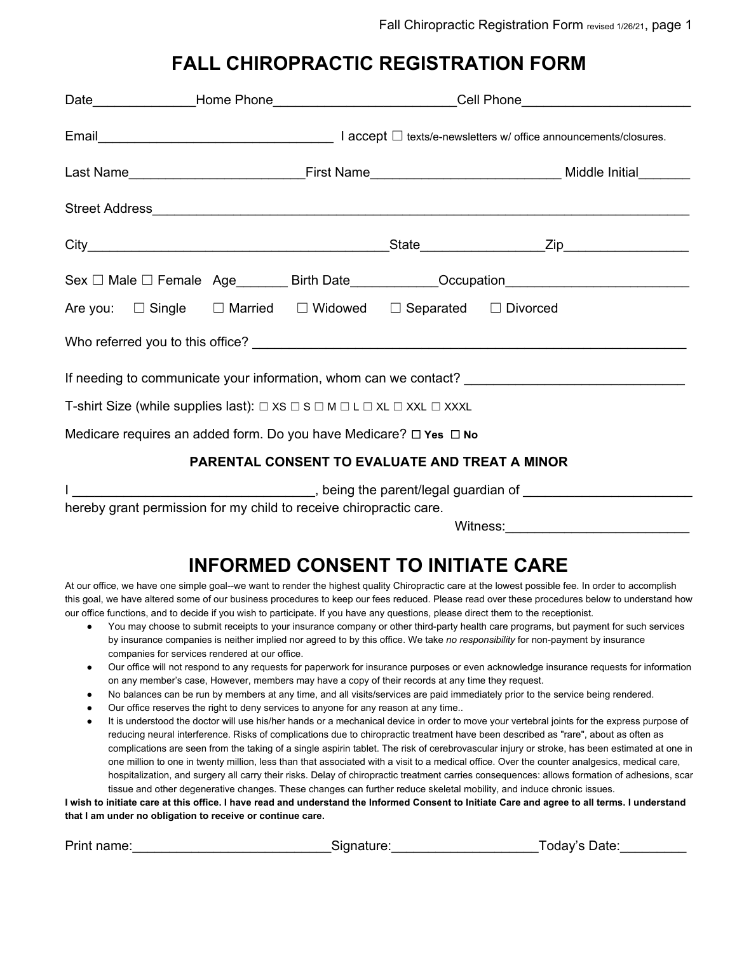## **FALL CHIROPRACTIC REGISTRATION FORM**

|                                                                                                                                                                                                                                |  |  | Date_________________Home Phone______________________________Cell Phone____________________________ |                                                                                       |                                                                                  |  |  |  |
|--------------------------------------------------------------------------------------------------------------------------------------------------------------------------------------------------------------------------------|--|--|-----------------------------------------------------------------------------------------------------|---------------------------------------------------------------------------------------|----------------------------------------------------------------------------------|--|--|--|
|                                                                                                                                                                                                                                |  |  |                                                                                                     |                                                                                       |                                                                                  |  |  |  |
|                                                                                                                                                                                                                                |  |  |                                                                                                     |                                                                                       |                                                                                  |  |  |  |
|                                                                                                                                                                                                                                |  |  |                                                                                                     |                                                                                       |                                                                                  |  |  |  |
|                                                                                                                                                                                                                                |  |  |                                                                                                     |                                                                                       |                                                                                  |  |  |  |
|                                                                                                                                                                                                                                |  |  |                                                                                                     |                                                                                       | Sex □ Male □ Female Age________ Birth Date____________Occupation________________ |  |  |  |
|                                                                                                                                                                                                                                |  |  |                                                                                                     | Are you: $\Box$ Single $\Box$ Married $\Box$ Widowed $\Box$ Separated $\Box$ Divorced |                                                                                  |  |  |  |
|                                                                                                                                                                                                                                |  |  |                                                                                                     |                                                                                       |                                                                                  |  |  |  |
| If needing to communicate your information, whom can we contact? [11] The contact of the content of the content of the content of the content of the content of the content of the content of the content of the content of th |  |  |                                                                                                     |                                                                                       |                                                                                  |  |  |  |
| T-shirt Size (while supplies last): $\Box$ XS $\Box$ S $\Box$ M $\Box$ L $\Box$ XL $\Box$ XXL $\Box$ XXXL                                                                                                                      |  |  |                                                                                                     |                                                                                       |                                                                                  |  |  |  |
| Medicare requires an added form. Do you have Medicare? $\Box$ Yes $\Box$ No                                                                                                                                                    |  |  |                                                                                                     |                                                                                       |                                                                                  |  |  |  |
| <b>PARENTAL CONSENT TO EVALUATE AND TREAT A MINOR</b>                                                                                                                                                                          |  |  |                                                                                                     |                                                                                       |                                                                                  |  |  |  |
|                                                                                                                                                                                                                                |  |  |                                                                                                     |                                                                                       |                                                                                  |  |  |  |
| hereby grant permission for my child to receive chiropractic care.<br>Witness:                                                                                                                                                 |  |  |                                                                                                     |                                                                                       |                                                                                  |  |  |  |

# **INFORMED CONSENT TO INITIATE CARE**

At our office, we have one simple goal--we want to render the highest quality Chiropractic care at the lowest possible fee. In order to accomplish this goal, we have altered some of our business procedures to keep our fees reduced. Please read over these procedures below to understand how our office functions, and to decide if you wish to participate. If you have any questions, please direct them to the receptionist.

- You may choose to submit receipts to your insurance company or other third-party health care programs, but payment for such services by insurance companies is neither implied nor agreed to by this office. We take *no responsibility* for non-payment by insurance companies for services rendered at our office.
- Our office will not respond to any requests for paperwork for insurance purposes or even acknowledge insurance requests for information on any member's case, However, members may have a copy of their records at any time they request.
- No balances can be run by members at any time, and all visits/services are paid immediately prior to the service being rendered.
- Our office reserves the right to deny services to anyone for any reason at any time..
- It is understood the doctor will use his/her hands or a mechanical device in order to move your vertebral joints for the express purpose of reducing neural interference. Risks of complications due to chiropractic treatment have been described as "rare", about as often as complications are seen from the taking of a single aspirin tablet. The risk of cerebrovascular injury or stroke, has been estimated at one in one million to one in twenty million, less than that associated with a visit to a medical office. Over the counter analgesics, medical care, hospitalization, and surgery all carry their risks. Delay of chiropractic treatment carries consequences: allows formation of adhesions, scar tissue and other degenerative changes. These changes can further reduce skeletal mobility, and induce chronic issues.

I wish to initiate care at this office. I have read and understand the Informed Consent to Initiate Care and agree to all terms. I understand **that I am under no obligation to receive or continue care.**

| Print name: | Signature: | Today's Date: |
|-------------|------------|---------------|
|             |            |               |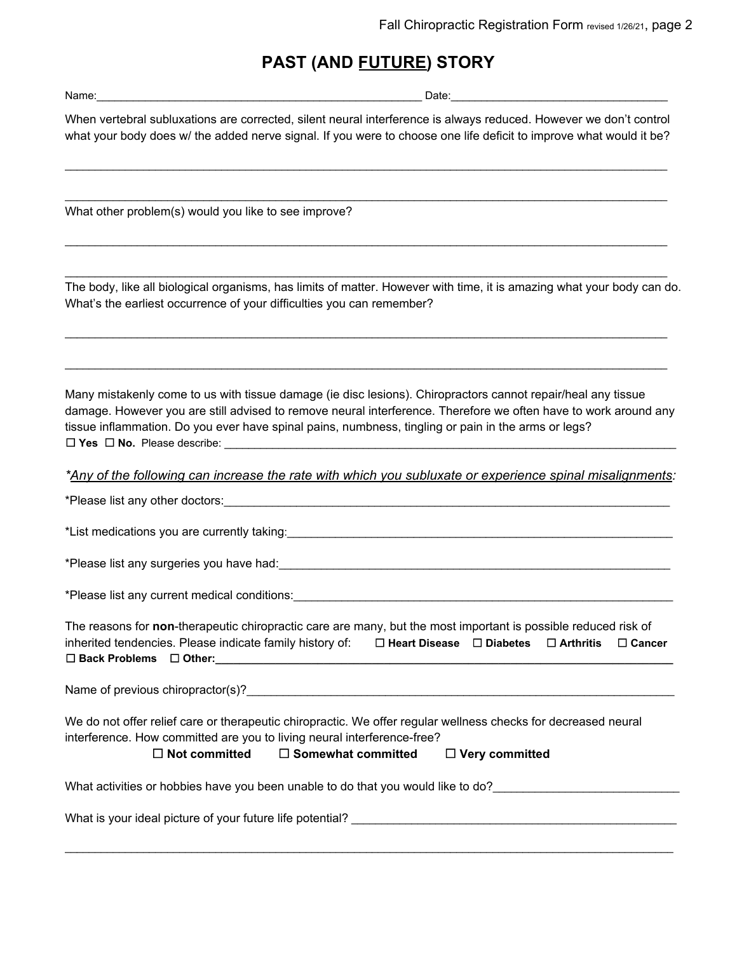### **PAST (AND FUTURE) STORY**

Name: which is a set of the set of the set of the set of the set of the set of the set of the set of the set of the set of the set of the set of the set of the set of the set of the set of the set of the set of the set of

When vertebral subluxations are corrected, silent neural interference is always reduced. However we don't control what your body does w/ the added nerve signal. If you were to choose one life deficit to improve what would it be?

\_\_\_\_\_\_\_\_\_\_\_\_\_\_\_\_\_\_\_\_\_\_\_\_\_\_\_\_\_\_\_\_\_\_\_\_\_\_\_\_\_\_\_\_\_\_\_\_\_\_\_\_\_\_\_\_\_\_\_\_\_\_\_\_\_\_\_\_\_\_\_\_\_\_\_\_\_\_\_\_\_\_\_\_\_\_\_\_\_\_\_\_\_\_\_\_\_\_\_\_

\_\_\_\_\_\_\_\_\_\_\_\_\_\_\_\_\_\_\_\_\_\_\_\_\_\_\_\_\_\_\_\_\_\_\_\_\_\_\_\_\_\_\_\_\_\_\_\_\_\_\_\_\_\_\_\_\_\_\_\_\_\_\_\_\_\_\_\_\_\_\_\_\_\_\_\_\_\_\_\_\_\_\_\_\_\_\_\_\_\_\_\_\_\_\_\_\_\_\_\_

\_\_\_\_\_\_\_\_\_\_\_\_\_\_\_\_\_\_\_\_\_\_\_\_\_\_\_\_\_\_\_\_\_\_\_\_\_\_\_\_\_\_\_\_\_\_\_\_\_\_\_\_\_\_\_\_\_\_\_\_\_\_\_\_\_\_\_\_\_\_\_\_\_\_\_\_\_\_\_\_\_\_\_\_\_\_\_\_\_\_\_\_\_\_\_\_\_\_\_\_

\_\_\_\_\_\_\_\_\_\_\_\_\_\_\_\_\_\_\_\_\_\_\_\_\_\_\_\_\_\_\_\_\_\_\_\_\_\_\_\_\_\_\_\_\_\_\_\_\_\_\_\_\_\_\_\_\_\_\_\_\_\_\_\_\_\_\_\_\_\_\_\_\_\_\_\_\_\_\_\_\_\_\_\_\_\_\_\_\_\_\_\_\_\_\_\_\_\_\_\_

\_\_\_\_\_\_\_\_\_\_\_\_\_\_\_\_\_\_\_\_\_\_\_\_\_\_\_\_\_\_\_\_\_\_\_\_\_\_\_\_\_\_\_\_\_\_\_\_\_\_\_\_\_\_\_\_\_\_\_\_\_\_\_\_\_\_\_\_\_\_\_\_\_\_\_\_\_\_\_\_\_\_\_\_\_\_\_\_\_\_\_\_\_\_\_\_\_\_\_\_

\_\_\_\_\_\_\_\_\_\_\_\_\_\_\_\_\_\_\_\_\_\_\_\_\_\_\_\_\_\_\_\_\_\_\_\_\_\_\_\_\_\_\_\_\_\_\_\_\_\_\_\_\_\_\_\_\_\_\_\_\_\_\_\_\_\_\_\_\_\_\_\_\_\_\_\_\_\_\_\_\_\_\_\_\_\_\_\_\_\_\_\_\_\_\_\_\_\_\_\_

What other problem(s) would you like to see improve?

The body, like all biological organisms, has limits of matter. However with time, it is amazing what your body can do. What's the earliest occurrence of your difficulties you can remember?

Many mistakenly come to us with tissue damage (ie disc lesions). Chiropractors cannot repair/heal any tissue damage. However you are still advised to remove neural interference. Therefore we often have to work around any tissue inflammation. Do you ever have spinal pains, numbness, tingling or pain in the arms or legs? ☐ **Yes** ☐ **No.** Please describe: \_\_\_\_\_\_\_\_\_\_\_\_\_\_\_\_\_\_\_\_\_\_\_\_\_\_\_\_\_\_\_\_\_\_\_\_\_\_\_\_\_\_\_\_\_\_\_\_\_\_\_\_\_\_\_\_\_\_\_\_\_\_\_\_\_\_\_\_\_\_\_\_\_\_\_

*\*Any of the following can increase the rate with which you subluxate or experience spinal misalignments:*

\*Please list any other doctors:<br>

\*List medications you are currently taking:

\*Please list any surgeries you have had:

\*Please list any current medical conditions:\_\_\_\_\_\_\_\_\_\_\_\_\_\_\_\_\_\_\_\_\_\_\_\_\_\_\_\_\_\_\_\_\_\_\_\_\_\_\_\_\_\_\_\_\_\_\_\_\_\_\_\_\_\_\_\_\_\_\_\_\_\_\_

The reasons for **non**-therapeutic chiropractic care are many, but the most important is possible reduced risk of inherited tendencies. Please indicate family history of: ☐ **Heart Disease** ☐ **Diabetes** ☐ **Arthritis** ☐ **Cancer** ☐ **Back Problems** ☐ **Other:\_\_\_\_\_\_\_\_\_\_\_\_\_\_\_\_\_\_\_\_\_\_\_\_\_\_\_\_\_\_\_\_\_\_\_\_\_\_\_\_\_\_\_\_\_\_\_\_\_\_\_\_\_\_\_\_\_\_\_\_\_\_\_\_\_\_\_\_\_\_\_\_\_\_\_\_**

Name of previous chiropractor(s)?

We do not offer relief care or therapeutic chiropractic. We offer regular wellness checks for decreased neural interference. How committed are you to living neural interference-free?

 $\mathcal{L}_\mathcal{L} = \mathcal{L}_\mathcal{L} = \mathcal{L}_\mathcal{L} = \mathcal{L}_\mathcal{L} = \mathcal{L}_\mathcal{L} = \mathcal{L}_\mathcal{L} = \mathcal{L}_\mathcal{L} = \mathcal{L}_\mathcal{L} = \mathcal{L}_\mathcal{L} = \mathcal{L}_\mathcal{L} = \mathcal{L}_\mathcal{L} = \mathcal{L}_\mathcal{L} = \mathcal{L}_\mathcal{L} = \mathcal{L}_\mathcal{L} = \mathcal{L}_\mathcal{L} = \mathcal{L}_\mathcal{L} = \mathcal{L}_\mathcal{L}$ 

#### ☐ **Not committed** ☐ **Somewhat committed** ☐ **Very committed**

What activities or hobbies have you been unable to do that you would like to do?\_\_\_\_\_\_\_\_\_\_\_\_\_\_\_\_\_\_\_\_\_\_\_\_\_\_\_\_\_\_

What is your ideal picture of your future life potential? \_\_\_\_\_\_\_\_\_\_\_\_\_\_\_\_\_\_\_\_\_\_